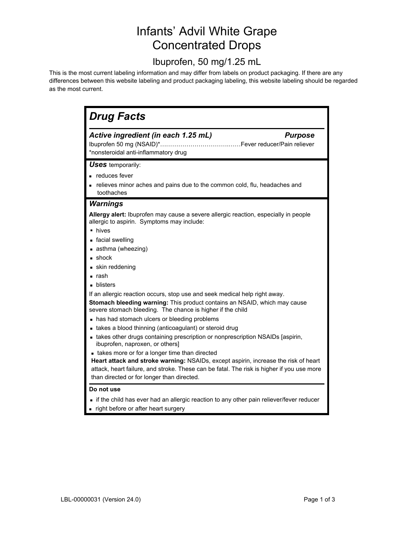# Infants' Advil White Grape Concentrated Drops

## Ibuprofen, 50 mg/1.25 mL

This is the most current labeling information and may differ from labels on product packaging. If there are any differences between this website labeling and product packaging labeling, this website labeling should be regarded as the most current.

| <b>Drug Facts</b>                                                                                                                       |
|-----------------------------------------------------------------------------------------------------------------------------------------|
| Active ingredient (in each 1.25 mL)<br><b>Purpose</b><br>*nonsteroidal anti-inflammatory drug                                           |
| <b>Uses</b> temporarily:                                                                                                                |
| reduces fever                                                                                                                           |
| relieves minor aches and pains due to the common cold, flu, headaches and<br>toothaches                                                 |
| <b>Warnings</b>                                                                                                                         |
| Allergy alert: Ibuprofen may cause a severe allergic reaction, especially in people<br>allergic to aspirin. Symptoms may include:       |
| • hives                                                                                                                                 |
| • facial swelling                                                                                                                       |
| asthma (wheezing)                                                                                                                       |
| $\blacksquare$ shock                                                                                                                    |
| • skin reddening                                                                                                                        |
| rash                                                                                                                                    |
| • blisters                                                                                                                              |
| If an allergic reaction occurs, stop use and seek medical help right away.                                                              |
| Stomach bleeding warning: This product contains an NSAID, which may cause<br>severe stomach bleeding. The chance is higher if the child |
| • has had stomach ulcers or bleeding problems                                                                                           |
| • takes a blood thinning (anticoagulant) or steroid drug                                                                                |
| • takes other drugs containing prescription or nonprescription NSAIDs [aspirin,<br>ibuprofen, naproxen, or others]                      |
| • takes more or for a longer time than directed                                                                                         |
| Heart attack and stroke warning: NSAIDs, except aspirin, increase the risk of heart                                                     |
| attack, heart failure, and stroke. These can be fatal. The risk is higher if you use more                                               |
| than directed or for longer than directed.                                                                                              |
| Do not use                                                                                                                              |
| if the child has ever had an allergic reaction to any other pain reliever/fever reducer                                                 |
| . right before or after heart surgery                                                                                                   |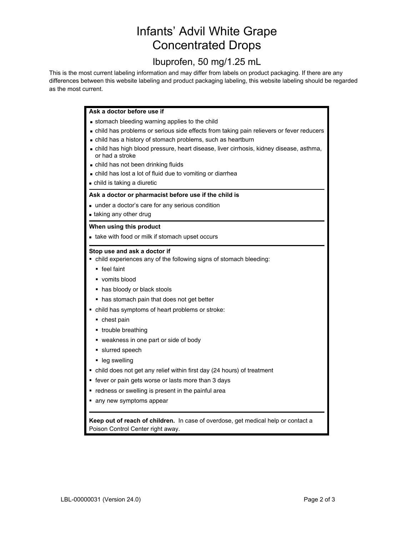# Infants' Advil White Grape Concentrated Drops

## Ibuprofen, 50 mg/1.25 mL

This is the most current labeling information and may differ from labels on product packaging. If there are any differences between this website labeling and product packaging labeling, this website labeling should be regarded as the most current.

#### **Ask a doctor before use if**

- **stomach bleeding warning applies to the child**
- child has problems or serious side effects from taking pain relievers or fever reducers
- child has a history of stomach problems, such as heartburn
- child has high blood pressure, heart disease, liver cirrhosis, kidney disease, asthma, or had a stroke
- child has not been drinking fluids
- child has lost a lot of fluid due to vomiting or diarrhea
- child is taking a diuretic

#### **Ask a doctor or pharmacist before use if the child is**

- under a doctor's care for any serious condition
- taking any other drug

#### **When using this product**

take with food or milk if stomach upset occurs

#### **Stop use and ask a doctor if**

- child experiences any of the following signs of stomach bleeding:
	- feel faint
	- **vomits blood**
	- has bloody or black stools
	- has stomach pain that does not get better
- child has symptoms of heart problems or stroke:
	- chest pain
	- **•** trouble breathing
	- weakness in one part or side of body
	- **slurred speech**
	- **leg swelling**
- child does not get any relief within first day (24 hours) of treatment
- **fever or pain gets worse or lasts more than 3 days**
- **•** redness or swelling is present in the painful area
- any new symptoms appear

**Keep out of reach of children.** In case of overdose, get medical help or contact a Poison Control Center right away.